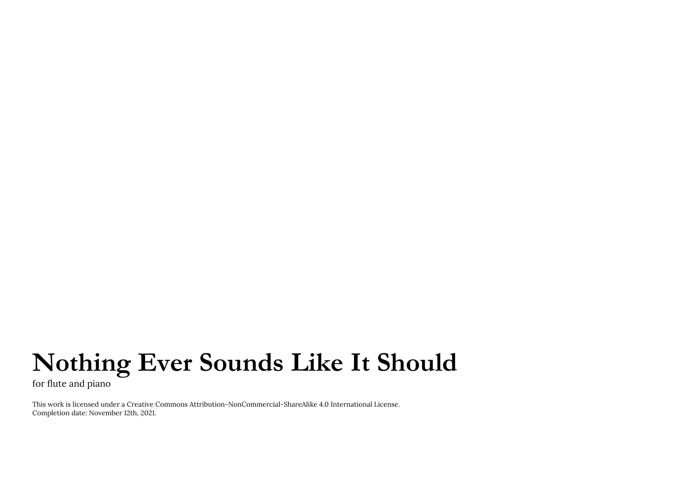## **Nothing Ever Sounds Like It Should**

for flute and piano

This work is licensed under a Creative Commons Attribution-NonCommercial-ShareAlike 4.0 International License. Completion date: November 12th, 2021.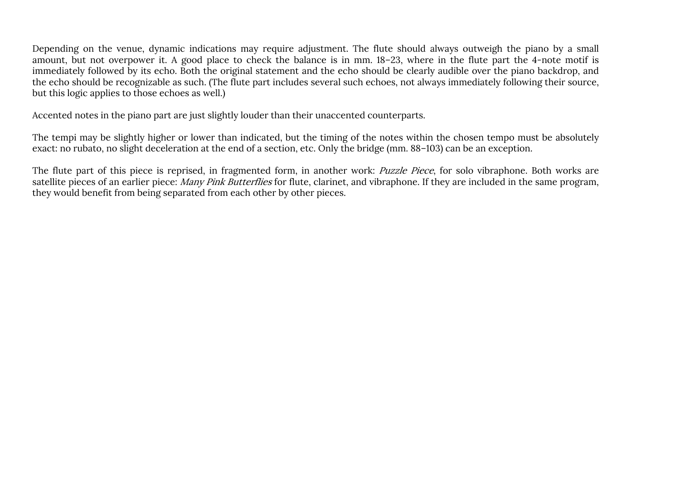Depending on the venue, dynamic indications may require adjustment. The flute should always outweigh the piano by a small amount, but not overpower it. A good place to check the balance is in mm. 18–23, where in the flute part the 4-note motif is immediately followed by its echo. Both the original statement and the echo should be clearly audible over the piano backdrop, and the echo should be recognizable as such. (The flute part includes several such echoes, not always immediately following their source, but this logic applies to those echoes as well.)

Accented notes in the piano part are just slightly louder than their unaccented counterparts.

The flute part of this piece is reprised, in fragmented form, in another work: Puzzle Piece, for solo vibraphone. Both works are satellite pieces of an earlier piece: Many Pink Butterflies for flute, clarinet, and vibraphone. If they are included in the same program, they would benefit from being separated from each other by other pieces.

The tempi may be slightly higher or lower than indicated, but the timing of the notes within the chosen tempo must be absolutely exact: no rubato, no slight deceleration at the end of a section, etc. Only the bridge (mm. 88–103) can be an exception.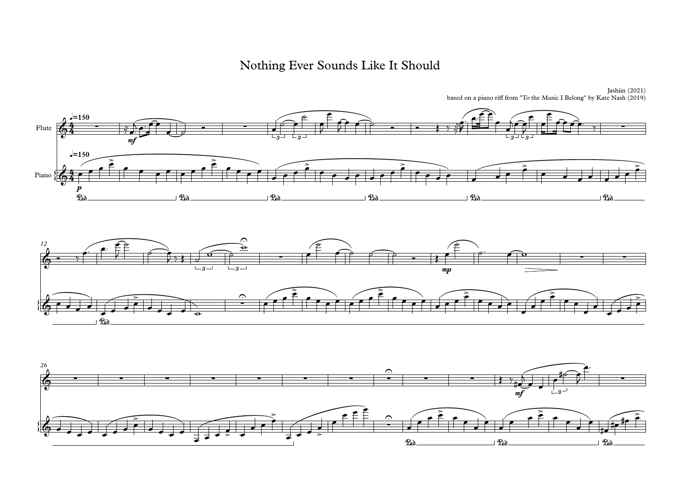

 $\Omega$ *12* Έ  $\overrightarrow{\textbf{e}}$  $\epsilon$ mp  $3 - -3$ 3 $\perp$   $\mathfrak{D}$ 



## Nothing Ever Sounds Like It Should



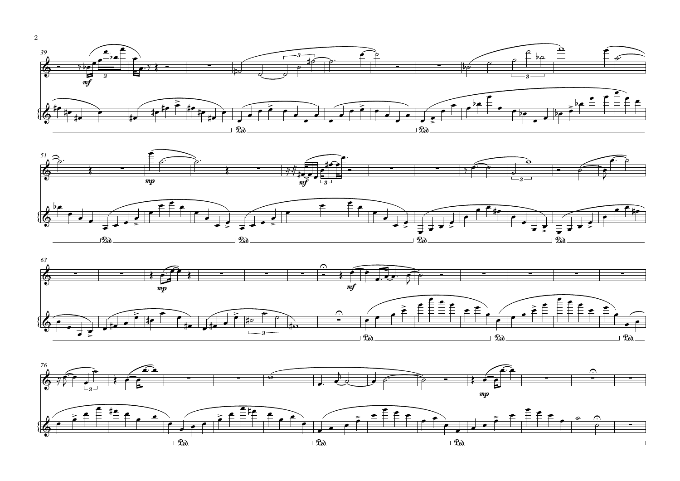